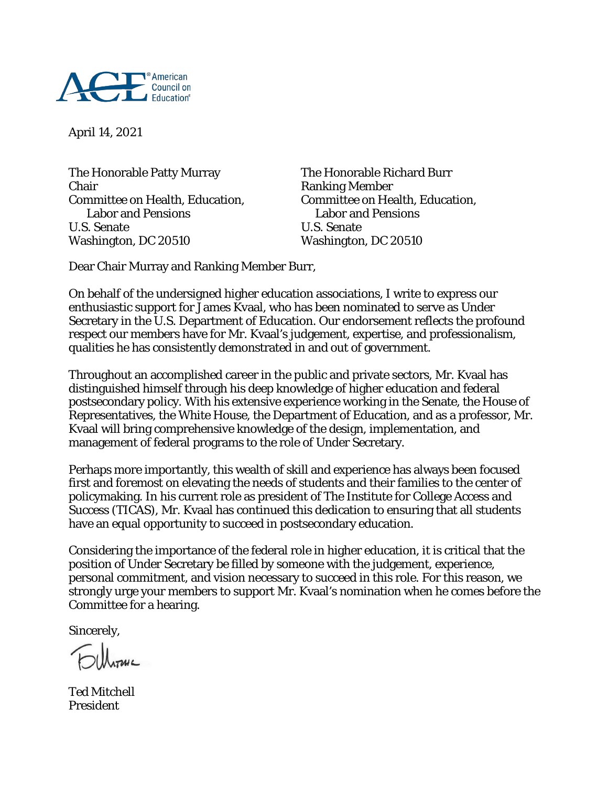

April 14, 2021

The Honorable Patty Murray The Honorable Richard Burr Chair<br>Committee on Health, Education, Fig. 2015. Committee on Health, Education, Committee on Health, Education,<br>Labor and Pensions U.S. Senate U.S. Senate Washington, DC 20510 Washington, DC 20510

Labor and Pensions Labor and Pensions

Dear Chair Murray and Ranking Member Burr,

On behalf of the undersigned higher education associations, I write to express our enthusiastic support for James Kvaal, who has been nominated to serve as Under Secretary in the U.S. Department of Education. Our endorsement reflects the profound respect our members have for Mr. Kvaal's judgement, expertise, and professionalism, qualities he has consistently demonstrated in and out of government.

Throughout an accomplished career in the public and private sectors, Mr. Kvaal has distinguished himself through his deep knowledge of higher education and federal postsecondary policy. With his extensive experience working in the Senate, the House of Representatives, the White House, the Department of Education, and as a professor, Mr. Kvaal will bring comprehensive knowledge of the design, implementation, and management of federal programs to the role of Under Secretary.

Perhaps more importantly, this wealth of skill and experience has always been focused first and foremost on elevating the needs of students and their families to the center of policymaking. In his current role as president of The Institute for College Access and Success (TICAS), Mr. Kvaal has continued this dedication to ensuring that all students have an equal opportunity to succeed in postsecondary education.

Considering the importance of the federal role in higher education, it is critical that the position of Under Secretary be filled by someone with the judgement, experience, personal commitment, and vision necessary to succeed in this role. For this reason, we strongly urge your members to support Mr. Kvaal's nomination when he comes before the Committee for a hearing.

Sincerely,

Ted Mitchell President